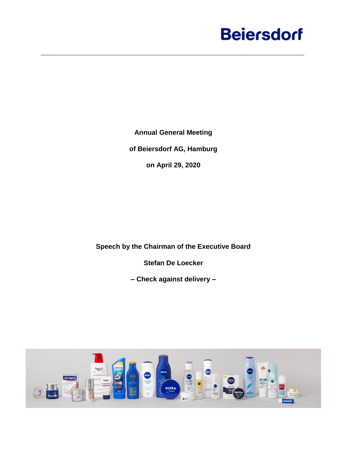**Annual General Meeting of Beiersdorf AG, Hamburg on April 29, 2020**

\_\_\_\_\_\_\_\_\_\_\_\_\_\_\_\_\_\_\_\_\_\_\_\_\_\_\_\_\_\_\_\_\_\_\_\_\_\_\_\_\_\_\_\_\_\_\_\_\_\_\_\_\_\_\_\_\_\_\_\_\_\_\_\_\_\_\_\_\_\_\_\_\_\_\_\_\_\_\_\_\_\_\_\_\_

**Speech by the Chairman of the Executive Board**

**Stefan De Loecker**

**– Check against delivery –**

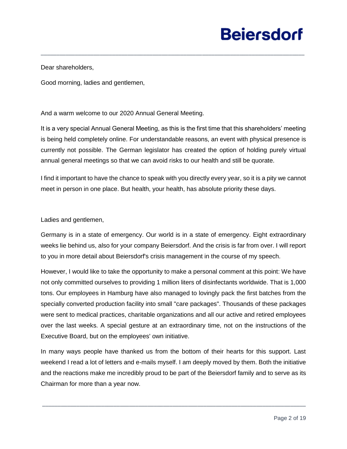Dear shareholders,

Good morning, ladies and gentlemen,

And a warm welcome to our 2020 Annual General Meeting.

It is a very special Annual General Meeting, as this is the first time that this shareholders' meeting is being held completely online. For understandable reasons, an event with physical presence is currently not possible. The German legislator has created the option of holding purely virtual annual general meetings so that we can avoid risks to our health and still be quorate.

\_\_\_\_\_\_\_\_\_\_\_\_\_\_\_\_\_\_\_\_\_\_\_\_\_\_\_\_\_\_\_\_\_\_\_\_\_\_\_\_\_\_\_\_\_\_\_\_\_\_\_\_\_\_\_\_\_\_\_\_\_\_\_\_\_\_\_\_\_\_\_\_\_\_\_\_\_\_\_\_\_\_\_\_\_

I find it important to have the chance to speak with you directly every year, so it is a pity we cannot meet in person in one place. But health, your health, has absolute priority these days.

Ladies and gentlemen,

Germany is in a state of emergency. Our world is in a state of emergency. Eight extraordinary weeks lie behind us, also for your company Beiersdorf. And the crisis is far from over. I will report to you in more detail about Beiersdorf's crisis management in the course of my speech.

However, I would like to take the opportunity to make a personal comment at this point: We have not only committed ourselves to providing 1 million liters of disinfectants worldwide. That is 1,000 tons. Our employees in Hamburg have also managed to lovingly pack the first batches from the specially converted production facility into small "care packages". Thousands of these packages were sent to medical practices, charitable organizations and all our active and retired employees over the last weeks. A special gesture at an extraordinary time, not on the instructions of the Executive Board, but on the employees' own initiative.

In many ways people have thanked us from the bottom of their hearts for this support. Last weekend I read a lot of letters and e-mails myself. I am deeply moved by them. Both the initiative and the reactions make me incredibly proud to be part of the Beiersdorf family and to serve as its Chairman for more than a year now.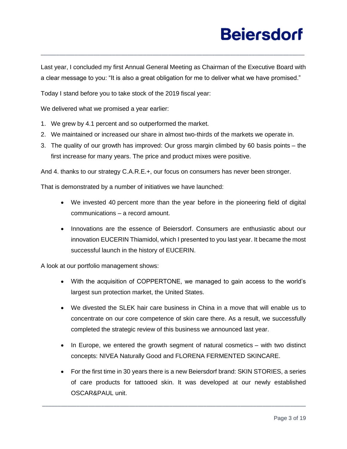Last year, I concluded my first Annual General Meeting as Chairman of the Executive Board with a clear message to you: "It is also a great obligation for me to deliver what we have promised."

\_\_\_\_\_\_\_\_\_\_\_\_\_\_\_\_\_\_\_\_\_\_\_\_\_\_\_\_\_\_\_\_\_\_\_\_\_\_\_\_\_\_\_\_\_\_\_\_\_\_\_\_\_\_\_\_\_\_\_\_\_\_\_\_\_\_\_\_\_\_\_\_\_\_\_\_\_\_\_\_\_\_\_\_\_

Today I stand before you to take stock of the 2019 fiscal year:

We delivered what we promised a year earlier:

- 1. We grew by 4.1 percent and so outperformed the market.
- 2. We maintained or increased our share in almost two-thirds of the markets we operate in.
- 3. The quality of our growth has improved: Our gross margin climbed by 60 basis points the first increase for many years. The price and product mixes were positive.

And 4. thanks to our strategy C.A.R.E.+, our focus on consumers has never been stronger.

That is demonstrated by a number of initiatives we have launched:

- We invested 40 percent more than the year before in the pioneering field of digital communications – a record amount.
- Innovations are the essence of Beiersdorf. Consumers are enthusiastic about our innovation EUCERIN Thiamidol, which I presented to you last year. It became the most successful launch in the history of EUCERIN.

A look at our portfolio management shows:

- With the acquisition of COPPERTONE, we managed to gain access to the world's largest sun protection market, the United States.
- We divested the SLEK hair care business in China in a move that will enable us to concentrate on our core competence of skin care there. As a result, we successfully completed the strategic review of this business we announced last year.
- In Europe, we entered the growth segment of natural cosmetics with two distinct concepts: NIVEA Naturally Good and FLORENA FERMENTED SKINCARE.
- For the first time in 30 years there is a new Beiersdorf brand: SKIN STORIES, a series of care products for tattooed skin. It was developed at our newly established OSCAR&PAUL unit.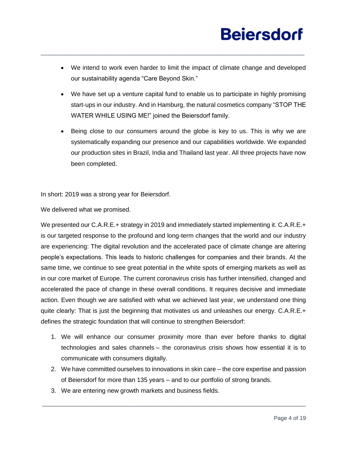• We intend to work even harder to limit the impact of climate change and developed our sustainability agenda "Care Beyond Skin."

\_\_\_\_\_\_\_\_\_\_\_\_\_\_\_\_\_\_\_\_\_\_\_\_\_\_\_\_\_\_\_\_\_\_\_\_\_\_\_\_\_\_\_\_\_\_\_\_\_\_\_\_\_\_\_\_\_\_\_\_\_\_\_\_\_\_\_\_\_\_\_\_\_\_\_\_\_\_\_\_\_\_\_\_\_

- We have set up a venture capital fund to enable us to participate in highly promising start-ups in our industry. And in Hamburg, the natural cosmetics company "STOP THE WATER WHILE USING ME!" joined the Beiersdorf family.
- Being close to our consumers around the globe is key to us. This is why we are systematically expanding our presence and our capabilities worldwide. We expanded our production sites in Brazil, India and Thailand last year. All three projects have now been completed.

In short: 2019 was a strong year for Beiersdorf.

We delivered what we promised.

We presented our C.A.R.E.+ strategy in 2019 and immediately started implementing it. C.A.R.E.+ is our targeted response to the profound and long-term changes that the world and our industry are experiencing: The digital revolution and the accelerated pace of climate change are altering people's expectations. This leads to historic challenges for companies and their brands. At the same time, we continue to see great potential in the white spots of emerging markets as well as in our core market of Europe. The current coronavirus crisis has further intensified, changed and accelerated the pace of change in these overall conditions. It requires decisive and immediate action. Even though we are satisfied with what we achieved last year, we understand one thing quite clearly: That is just the beginning that motivates us and unleashes our energy. C.A.R.E.+ defines the strategic foundation that will continue to strengthen Beiersdorf:

- 1. We will enhance our consumer proximity more than ever before thanks to digital technologies and sales channels – the coronavirus crisis shows how essential it is to communicate with consumers digitally.
- 2. We have committed ourselves to innovations in skin care the core expertise and passion of Beiersdorf for more than 135 years – and to our portfolio of strong brands.

\_\_\_\_\_\_\_\_\_\_\_\_\_\_\_\_\_\_\_\_\_\_\_\_\_\_\_\_\_\_\_\_\_\_\_\_\_\_\_\_\_\_\_\_\_\_\_\_\_\_\_\_\_\_\_\_\_\_\_\_\_\_\_\_\_\_\_\_\_\_\_\_\_\_\_\_\_\_\_\_\_\_\_\_\_

3. We are entering new growth markets and business fields.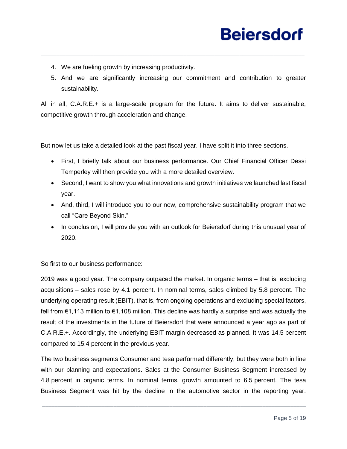- 4. We are fueling growth by increasing productivity.
- 5. And we are significantly increasing our commitment and contribution to greater sustainability.

All in all, C.A.R.E.+ is a large-scale program for the future. It aims to deliver sustainable, competitive growth through acceleration and change.

\_\_\_\_\_\_\_\_\_\_\_\_\_\_\_\_\_\_\_\_\_\_\_\_\_\_\_\_\_\_\_\_\_\_\_\_\_\_\_\_\_\_\_\_\_\_\_\_\_\_\_\_\_\_\_\_\_\_\_\_\_\_\_\_\_\_\_\_\_\_\_\_\_\_\_\_\_\_\_\_\_\_\_\_\_

But now let us take a detailed look at the past fiscal year. I have split it into three sections.

- First, I briefly talk about our business performance. Our Chief Financial Officer Dessi Temperley will then provide you with a more detailed overview.
- Second, I want to show you what innovations and growth initiatives we launched last fiscal year.
- And, third, I will introduce you to our new, comprehensive sustainability program that we call "Care Beyond Skin."
- In conclusion, I will provide you with an outlook for Beiersdorf during this unusual year of 2020.

So first to our business performance:

2019 was a good year. The company outpaced the market. In organic terms – that is, excluding acquisitions – sales rose by 4.1 percent. In nominal terms, sales climbed by 5.8 percent. The underlying operating result (EBIT), that is, from ongoing operations and excluding special factors, fell from €1,113 million to €1,108 million. This decline was hardly a surprise and was actually the result of the investments in the future of Beiersdorf that were announced a year ago as part of C.A.R.E.+. Accordingly, the underlying EBIT margin decreased as planned. It was 14.5 percent compared to 15.4 percent in the previous year.

The two business segments Consumer and tesa performed differently, but they were both in line with our planning and expectations. Sales at the Consumer Business Segment increased by 4.8 percent in organic terms. In nominal terms, growth amounted to 6.5 percent. The tesa Business Segment was hit by the decline in the automotive sector in the reporting year.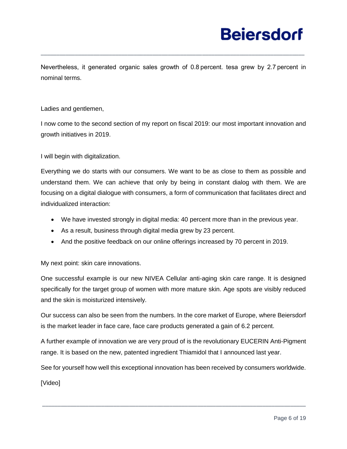Nevertheless, it generated organic sales growth of 0.8 percent. tesa grew by 2.7 percent in nominal terms.

\_\_\_\_\_\_\_\_\_\_\_\_\_\_\_\_\_\_\_\_\_\_\_\_\_\_\_\_\_\_\_\_\_\_\_\_\_\_\_\_\_\_\_\_\_\_\_\_\_\_\_\_\_\_\_\_\_\_\_\_\_\_\_\_\_\_\_\_\_\_\_\_\_\_\_\_\_\_\_\_\_\_\_\_\_

### Ladies and gentlemen,

I now come to the second section of my report on fiscal 2019: our most important innovation and growth initiatives in 2019.

I will begin with digitalization.

Everything we do starts with our consumers. We want to be as close to them as possible and understand them. We can achieve that only by being in constant dialog with them. We are focusing on a digital dialogue with consumers, a form of communication that facilitates direct and individualized interaction:

- We have invested strongly in digital media: 40 percent more than in the previous year.
- As a result, business through digital media grew by 23 percent.
- And the positive feedback on our online offerings increased by 70 percent in 2019.

My next point: skin care innovations.

One successful example is our new NIVEA Cellular anti-aging skin care range. It is designed specifically for the target group of women with more mature skin. Age spots are visibly reduced and the skin is moisturized intensively.

Our success can also be seen from the numbers. In the core market of Europe, where Beiersdorf is the market leader in face care, face care products generated a gain of 6.2 percent.

A further example of innovation we are very proud of is the revolutionary EUCERIN Anti-Pigment range. It is based on the new, patented ingredient Thiamidol that I announced last year.

See for yourself how well this exceptional innovation has been received by consumers worldwide.

\_\_\_\_\_\_\_\_\_\_\_\_\_\_\_\_\_\_\_\_\_\_\_\_\_\_\_\_\_\_\_\_\_\_\_\_\_\_\_\_\_\_\_\_\_\_\_\_\_\_\_\_\_\_\_\_\_\_\_\_\_\_\_\_\_\_\_\_\_\_\_\_\_\_\_\_\_\_\_\_\_\_\_\_\_

[Video]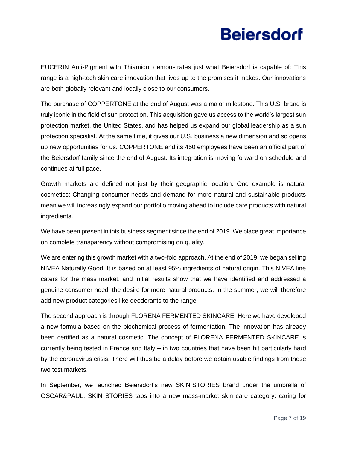EUCERIN Anti-Pigment with Thiamidol demonstrates just what Beiersdorf is capable of: This range is a high-tech skin care innovation that lives up to the promises it makes. Our innovations are both globally relevant and locally close to our consumers.

\_\_\_\_\_\_\_\_\_\_\_\_\_\_\_\_\_\_\_\_\_\_\_\_\_\_\_\_\_\_\_\_\_\_\_\_\_\_\_\_\_\_\_\_\_\_\_\_\_\_\_\_\_\_\_\_\_\_\_\_\_\_\_\_\_\_\_\_\_\_\_\_\_\_\_\_\_\_\_\_\_\_\_\_\_

The purchase of COPPERTONE at the end of August was a major milestone. This U.S. brand is truly iconic in the field of sun protection. This acquisition gave us access to the world's largest sun protection market, the United States, and has helped us expand our global leadership as a sun protection specialist. At the same time, it gives our U.S. business a new dimension and so opens up new opportunities for us. COPPERTONE and its 450 employees have been an official part of the Beiersdorf family since the end of August. Its integration is moving forward on schedule and continues at full pace.

Growth markets are defined not just by their geographic location. One example is natural cosmetics: Changing consumer needs and demand for more natural and sustainable products mean we will increasingly expand our portfolio moving ahead to include care products with natural ingredients.

We have been present in this business segment since the end of 2019. We place great importance on complete transparency without compromising on quality.

We are entering this growth market with a two-fold approach. At the end of 2019, we began selling NIVEA Naturally Good. It is based on at least 95% ingredients of natural origin. This NIVEA line caters for the mass market, and initial results show that we have identified and addressed a genuine consumer need: the desire for more natural products. In the summer, we will therefore add new product categories like deodorants to the range.

The second approach is through FLORENA FERMENTED SKINCARE. Here we have developed a new formula based on the biochemical process of fermentation. The innovation has already been certified as a natural cosmetic. The concept of FLORENA FERMENTED SKINCARE is currently being tested in France and Italy – in two countries that have been hit particularly hard by the coronavirus crisis. There will thus be a delay before we obtain usable findings from these two test markets.

In September, we launched Beiersdorf's new SKIN STORIES brand under the umbrella of OSCAR&PAUL. SKIN STORIES taps into a new mass-market skin care category: caring for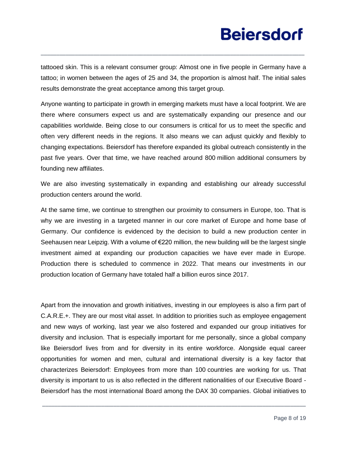tattooed skin. This is a relevant consumer group: Almost one in five people in Germany have a tattoo; in women between the ages of 25 and 34, the proportion is almost half. The initial sales results demonstrate the great acceptance among this target group.

\_\_\_\_\_\_\_\_\_\_\_\_\_\_\_\_\_\_\_\_\_\_\_\_\_\_\_\_\_\_\_\_\_\_\_\_\_\_\_\_\_\_\_\_\_\_\_\_\_\_\_\_\_\_\_\_\_\_\_\_\_\_\_\_\_\_\_\_\_\_\_\_\_\_\_\_\_\_\_\_\_\_\_\_\_

Anyone wanting to participate in growth in emerging markets must have a local footprint. We are there where consumers expect us and are systematically expanding our presence and our capabilities worldwide. Being close to our consumers is critical for us to meet the specific and often very different needs in the regions. It also means we can adjust quickly and flexibly to changing expectations. Beiersdorf has therefore expanded its global outreach consistently in the past five years. Over that time, we have reached around 800 million additional consumers by founding new affiliates.

We are also investing systematically in expanding and establishing our already successful production centers around the world.

At the same time, we continue to strengthen our proximity to consumers in Europe, too. That is why we are investing in a targeted manner in our core market of Europe and home base of Germany. Our confidence is evidenced by the decision to build a new production center in Seehausen near Leipzig. With a volume of €220 million, the new building will be the largest single investment aimed at expanding our production capacities we have ever made in Europe. Production there is scheduled to commence in 2022. That means our investments in our production location of Germany have totaled half a billion euros since 2017.

Apart from the innovation and growth initiatives, investing in our employees is also a firm part of C.A.R.E.+. They are our most vital asset. In addition to priorities such as employee engagement and new ways of working, last year we also fostered and expanded our group initiatives for diversity and inclusion. That is especially important for me personally, since a global company like Beiersdorf lives from and for diversity in its entire workforce. Alongside equal career opportunities for women and men, cultural and international diversity is a key factor that characterizes Beiersdorf: Employees from more than 100 countries are working for us. That diversity is important to us is also reflected in the different nationalities of our Executive Board - Beiersdorf has the most international Board among the DAX 30 companies. Global initiatives to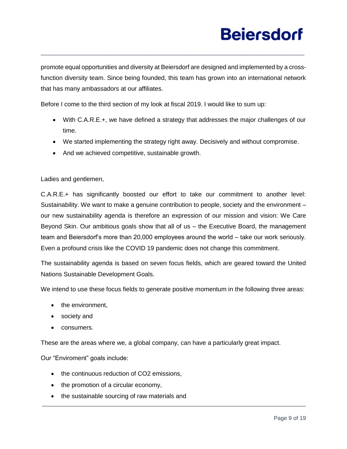promote equal opportunities and diversity at Beiersdorf are designed and implemented by a crossfunction diversity team. Since being founded, this team has grown into an international network that has many ambassadors at our affiliates.

\_\_\_\_\_\_\_\_\_\_\_\_\_\_\_\_\_\_\_\_\_\_\_\_\_\_\_\_\_\_\_\_\_\_\_\_\_\_\_\_\_\_\_\_\_\_\_\_\_\_\_\_\_\_\_\_\_\_\_\_\_\_\_\_\_\_\_\_\_\_\_\_\_\_\_\_\_\_\_\_\_\_\_\_\_

Before I come to the third section of my look at fiscal 2019. I would like to sum up:

- With C.A.R.E.+, we have defined a strategy that addresses the major challenges of our time.
- We started implementing the strategy right away. Decisively and without compromise.
- And we achieved competitive, sustainable growth.

Ladies and gentlemen,

C.A.R.E.+ has significantly boosted our effort to take our commitment to another level: Sustainability. We want to make a genuine contribution to people, society and the environment – our new sustainability agenda is therefore an expression of our mission and vision: We Care Beyond Skin. Our ambitious goals show that all of us – the Executive Board, the management team and Beiersdorf's more than 20,000 employees around the world – take our work seriously. Even a profound crisis like the COVID 19 pandemic does not change this commitment.

The sustainability agenda is based on seven focus fields, which are geared toward the United Nations Sustainable Development Goals.

We intend to use these focus fields to generate positive momentum in the following three areas:

\_\_\_\_\_\_\_\_\_\_\_\_\_\_\_\_\_\_\_\_\_\_\_\_\_\_\_\_\_\_\_\_\_\_\_\_\_\_\_\_\_\_\_\_\_\_\_\_\_\_\_\_\_\_\_\_\_\_\_\_\_\_\_\_\_\_\_\_\_\_\_\_\_\_\_\_\_\_\_\_\_\_\_\_\_

- the environment,
- society and
- consumers.

These are the areas where we, a global company, can have a particularly great impact.

Our "Enviroment" goals include:

- the continuous reduction of CO2 emissions,
- the promotion of a circular economy,
- the sustainable sourcing of raw materials and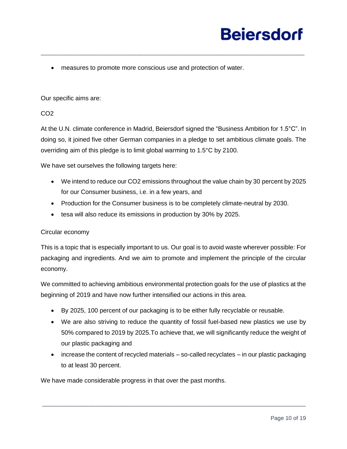• measures to promote more conscious use and protection of water.

### Our specific aims are:

### CO2

At the U.N. climate conference in Madrid, Beiersdorf signed the "Business Ambition for 1.5°C". In doing so, it joined five other German companies in a pledge to set ambitious climate goals. The overriding aim of this pledge is to limit global warming to 1.5°C by 2100.

\_\_\_\_\_\_\_\_\_\_\_\_\_\_\_\_\_\_\_\_\_\_\_\_\_\_\_\_\_\_\_\_\_\_\_\_\_\_\_\_\_\_\_\_\_\_\_\_\_\_\_\_\_\_\_\_\_\_\_\_\_\_\_\_\_\_\_\_\_\_\_\_\_\_\_\_\_\_\_\_\_\_\_\_\_

We have set ourselves the following targets here:

- We intend to reduce our CO2 emissions throughout the value chain by 30 percent by 2025 for our Consumer business, i.e. in a few years, and
- Production for the Consumer business is to be completely climate-neutral by 2030.
- tesa will also reduce its emissions in production by 30% by 2025.

### Circular economy

This is a topic that is especially important to us. Our goal is to avoid waste wherever possible: For packaging and ingredients. And we aim to promote and implement the principle of the circular economy.

We committed to achieving ambitious environmental protection goals for the use of plastics at the beginning of 2019 and have now further intensified our actions in this area.

- By 2025, 100 percent of our packaging is to be either fully recyclable or reusable.
- We are also striving to reduce the quantity of fossil fuel-based new plastics we use by 50% compared to 2019 by 2025.To achieve that, we will significantly reduce the weight of our plastic packaging and
- increase the content of recycled materials so-called recyclates in our plastic packaging to at least 30 percent.

\_\_\_\_\_\_\_\_\_\_\_\_\_\_\_\_\_\_\_\_\_\_\_\_\_\_\_\_\_\_\_\_\_\_\_\_\_\_\_\_\_\_\_\_\_\_\_\_\_\_\_\_\_\_\_\_\_\_\_\_\_\_\_\_\_\_\_\_\_\_\_\_\_\_\_\_\_\_\_\_\_\_\_\_\_

We have made considerable progress in that over the past months.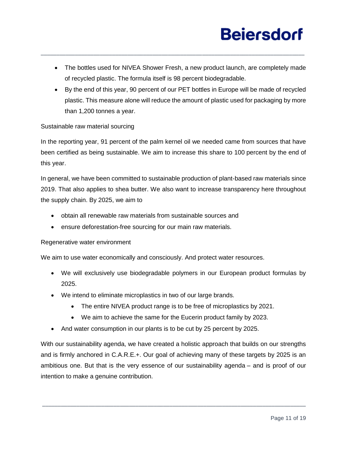• The bottles used for NIVEA Shower Fresh, a new product launch, are completely made of recycled plastic. The formula itself is 98 percent biodegradable.

\_\_\_\_\_\_\_\_\_\_\_\_\_\_\_\_\_\_\_\_\_\_\_\_\_\_\_\_\_\_\_\_\_\_\_\_\_\_\_\_\_\_\_\_\_\_\_\_\_\_\_\_\_\_\_\_\_\_\_\_\_\_\_\_\_\_\_\_\_\_\_\_\_\_\_\_\_\_\_\_\_\_\_\_\_

• By the end of this year, 90 percent of our PET bottles in Europe will be made of recycled plastic. This measure alone will reduce the amount of plastic used for packaging by more than 1,200 tonnes a year.

### Sustainable raw material sourcing

In the reporting year, 91 percent of the palm kernel oil we needed came from sources that have been certified as being sustainable. We aim to increase this share to 100 percent by the end of this year.

In general, we have been committed to sustainable production of plant-based raw materials since 2019. That also applies to shea butter. We also want to increase transparency here throughout the supply chain. By 2025, we aim to

- obtain all renewable raw materials from sustainable sources and
- ensure deforestation-free sourcing for our main raw materials.

### Regenerative water environment

We aim to use water economically and consciously. And protect water resources.

- We will exclusively use biodegradable polymers in our European product formulas by 2025.
- We intend to eliminate microplastics in two of our large brands.
	- The entire NIVEA product range is to be free of microplastics by 2021.
	- We aim to achieve the same for the Eucerin product family by 2023.
- And water consumption in our plants is to be cut by 25 percent by 2025.

With our sustainability agenda, we have created a holistic approach that builds on our strengths and is firmly anchored in C.A.R.E.+. Our goal of achieving many of these targets by 2025 is an ambitious one. But that is the very essence of our sustainability agenda – and is proof of our intention to make a genuine contribution.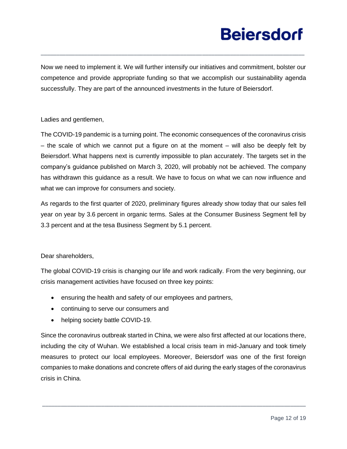Now we need to implement it. We will further intensify our initiatives and commitment, bolster our competence and provide appropriate funding so that we accomplish our sustainability agenda successfully. They are part of the announced investments in the future of Beiersdorf.

\_\_\_\_\_\_\_\_\_\_\_\_\_\_\_\_\_\_\_\_\_\_\_\_\_\_\_\_\_\_\_\_\_\_\_\_\_\_\_\_\_\_\_\_\_\_\_\_\_\_\_\_\_\_\_\_\_\_\_\_\_\_\_\_\_\_\_\_\_\_\_\_\_\_\_\_\_\_\_\_\_\_\_\_\_

Ladies and gentlemen,

The COVID-19 pandemic is a turning point. The economic consequences of the coronavirus crisis – the scale of which we cannot put a figure on at the moment – will also be deeply felt by Beiersdorf. What happens next is currently impossible to plan accurately. The targets set in the company's guidance published on March 3, 2020, will probably not be achieved. The company has withdrawn this guidance as a result. We have to focus on what we can now influence and what we can improve for consumers and society.

As regards to the first quarter of 2020, preliminary figures already show today that our sales fell year on year by 3.6 percent in organic terms. Sales at the Consumer Business Segment fell by 3.3 percent and at the tesa Business Segment by 5.1 percent.

### Dear shareholders,

The global COVID-19 crisis is changing our life and work radically. From the very beginning, our crisis management activities have focused on three key points:

- ensuring the health and safety of our employees and partners,
- continuing to serve our consumers and
- helping society battle COVID-19.

Since the coronavirus outbreak started in China, we were also first affected at our locations there, including the city of Wuhan. We established a local crisis team in mid-January and took timely measures to protect our local employees. Moreover, Beiersdorf was one of the first foreign companies to make donations and concrete offers of aid during the early stages of the coronavirus crisis in China.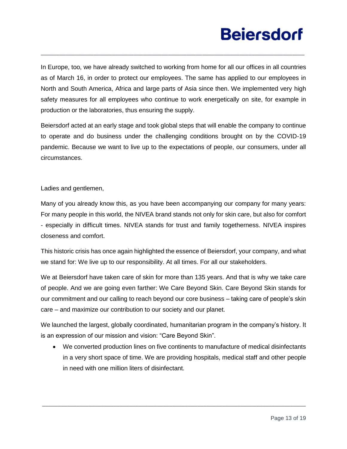In Europe, too, we have already switched to working from home for all our offices in all countries as of March 16, in order to protect our employees. The same has applied to our employees in North and South America, Africa and large parts of Asia since then. We implemented very high safety measures for all employees who continue to work energetically on site, for example in production or the laboratories, thus ensuring the supply.

\_\_\_\_\_\_\_\_\_\_\_\_\_\_\_\_\_\_\_\_\_\_\_\_\_\_\_\_\_\_\_\_\_\_\_\_\_\_\_\_\_\_\_\_\_\_\_\_\_\_\_\_\_\_\_\_\_\_\_\_\_\_\_\_\_\_\_\_\_\_\_\_\_\_\_\_\_\_\_\_\_\_\_\_\_

Beiersdorf acted at an early stage and took global steps that will enable the company to continue to operate and do business under the challenging conditions brought on by the COVID-19 pandemic. Because we want to live up to the expectations of people, our consumers, under all circumstances.

Ladies and gentlemen,

Many of you already know this, as you have been accompanying our company for many years: For many people in this world, the NIVEA brand stands not only for skin care, but also for comfort - especially in difficult times. NIVEA stands for trust and family togetherness. NIVEA inspires closeness and comfort.

This historic crisis has once again highlighted the essence of Beiersdorf, your company, and what we stand for: We live up to our responsibility. At all times. For all our stakeholders.

We at Beiersdorf have taken care of skin for more than 135 years. And that is why we take care of people. And we are going even farther: We Care Beyond Skin. Care Beyond Skin stands for our commitment and our calling to reach beyond our core business – taking care of people's skin care – and maximize our contribution to our society and our planet.

We launched the largest, globally coordinated, humanitarian program in the company's history. It is an expression of our mission and vision: "Care Beyond Skin".

• We converted production lines on five continents to manufacture of medical disinfectants in a very short space of time. We are providing hospitals, medical staff and other people in need with one million liters of disinfectant.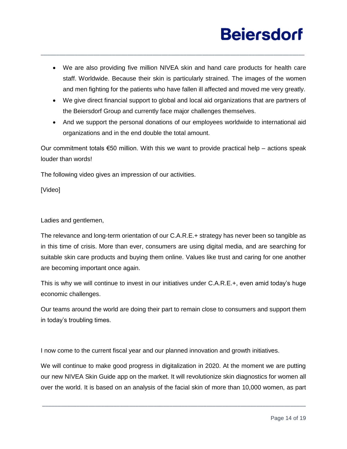• We are also providing five million NIVEA skin and hand care products for health care staff. Worldwide. Because their skin is particularly strained. The images of the women and men fighting for the patients who have fallen ill affected and moved me very greatly.

\_\_\_\_\_\_\_\_\_\_\_\_\_\_\_\_\_\_\_\_\_\_\_\_\_\_\_\_\_\_\_\_\_\_\_\_\_\_\_\_\_\_\_\_\_\_\_\_\_\_\_\_\_\_\_\_\_\_\_\_\_\_\_\_\_\_\_\_\_\_\_\_\_\_\_\_\_\_\_\_\_\_\_\_\_

- We give direct financial support to global and local aid organizations that are partners of the Beiersdorf Group and currently face major challenges themselves.
- And we support the personal donations of our employees worldwide to international aid organizations and in the end double the total amount.

Our commitment totals  $\epsilon$ 50 million. With this we want to provide practical help – actions speak louder than words!

The following video gives an impression of our activities.

[Video]

Ladies and gentlemen,

The relevance and long-term orientation of our C.A.R.E.+ strategy has never been so tangible as in this time of crisis. More than ever, consumers are using digital media, and are searching for suitable skin care products and buying them online. Values like trust and caring for one another are becoming important once again.

This is why we will continue to invest in our initiatives under C.A.R.E.+, even amid today's huge economic challenges.

Our teams around the world are doing their part to remain close to consumers and support them in today's troubling times.

I now come to the current fiscal year and our planned innovation and growth initiatives.

We will continue to make good progress in digitalization in 2020. At the moment we are putting our new NIVEA Skin Guide app on the market. It will revolutionize skin diagnostics for women all over the world. It is based on an analysis of the facial skin of more than 10,000 women, as part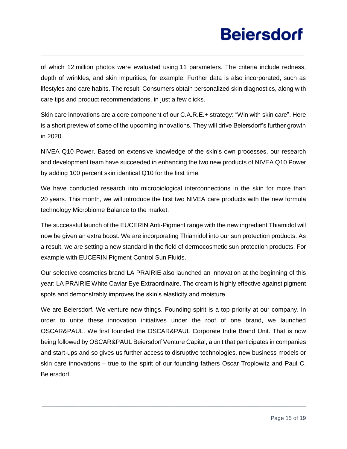of which 12 million photos were evaluated using 11 parameters. The criteria include redness, depth of wrinkles, and skin impurities, for example. Further data is also incorporated, such as lifestyles and care habits. The result: Consumers obtain personalized skin diagnostics, along with care tips and product recommendations, in just a few clicks.

\_\_\_\_\_\_\_\_\_\_\_\_\_\_\_\_\_\_\_\_\_\_\_\_\_\_\_\_\_\_\_\_\_\_\_\_\_\_\_\_\_\_\_\_\_\_\_\_\_\_\_\_\_\_\_\_\_\_\_\_\_\_\_\_\_\_\_\_\_\_\_\_\_\_\_\_\_\_\_\_\_\_\_\_\_

Skin care innovations are a core component of our C.A.R.E.+ strategy: "Win with skin care". Here is a short preview of some of the upcoming innovations. They will drive Beiersdorf's further growth in 2020.

NIVEA Q10 Power. Based on extensive knowledge of the skin's own processes, our research and development team have succeeded in enhancing the two new products of NIVEA Q10 Power by adding 100 percent skin identical Q10 for the first time.

We have conducted research into microbiological interconnections in the skin for more than 20 years. This month, we will introduce the first two NIVEA care products with the new formula technology Microbiome Balance to the market.

The successful launch of the EUCERIN Anti-Pigment range with the new ingredient Thiamidol will now be given an extra boost. We are incorporating Thiamidol into our sun protection products. As a result, we are setting a new standard in the field of dermocosmetic sun protection products. For example with EUCERIN Pigment Control Sun Fluids.

Our selective cosmetics brand LA PRAIRIE also launched an innovation at the beginning of this year: LA PRAIRIE White Caviar Eye Extraordinaire. The cream is highly effective against pigment spots and demonstrably improves the skin's elasticity and moisture.

We are Beiersdorf. We venture new things. Founding spirit is a top priority at our company. In order to unite these innovation initiatives under the roof of one brand, we launched OSCAR&PAUL. We first founded the OSCAR&PAUL Corporate Indie Brand Unit. That is now being followed by OSCAR&PAUL Beiersdorf Venture Capital, a unit that participates in companies and start-ups and so gives us further access to disruptive technologies, new business models or skin care innovations – true to the spirit of our founding fathers Oscar Troplowitz and Paul C. Beiersdorf.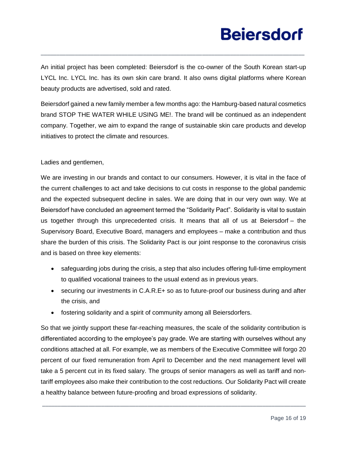An initial project has been completed: Beiersdorf is the co-owner of the South Korean start-up LYCL Inc. LYCL Inc. has its own skin care brand. It also owns digital platforms where Korean beauty products are advertised, sold and rated.

\_\_\_\_\_\_\_\_\_\_\_\_\_\_\_\_\_\_\_\_\_\_\_\_\_\_\_\_\_\_\_\_\_\_\_\_\_\_\_\_\_\_\_\_\_\_\_\_\_\_\_\_\_\_\_\_\_\_\_\_\_\_\_\_\_\_\_\_\_\_\_\_\_\_\_\_\_\_\_\_\_\_\_\_\_

Beiersdorf gained a new family member a few months ago: the Hamburg-based natural cosmetics brand STOP THE WATER WHILE USING ME!. The brand will be continued as an independent company. Together, we aim to expand the range of sustainable skin care products and develop initiatives to protect the climate and resources.

### Ladies and gentlemen,

We are investing in our brands and contact to our consumers. However, it is vital in the face of the current challenges to act and take decisions to cut costs in response to the global pandemic and the expected subsequent decline in sales. We are doing that in our very own way. We at Beiersdorf have concluded an agreement termed the "Solidarity Pact". Solidarity is vital to sustain us together through this unprecedented crisis. It means that all of us at Beiersdorf – the Supervisory Board, Executive Board, managers and employees – make a contribution and thus share the burden of this crisis. The Solidarity Pact is our joint response to the coronavirus crisis and is based on three key elements:

- safeguarding jobs during the crisis, a step that also includes offering full-time employment to qualified vocational trainees to the usual extend as in previous years.
- securing our investments in C.A.R.E+ so as to future-proof our business during and after the crisis, and
- fostering solidarity and a spirit of community among all Beiersdorfers.

So that we jointly support these far-reaching measures, the scale of the solidarity contribution is differentiated according to the employee's pay grade. We are starting with ourselves without any conditions attached at all. For example, we as members of the Executive Committee will forgo 20 percent of our fixed remuneration from April to December and the next management level will take a 5 percent cut in its fixed salary. The groups of senior managers as well as tariff and nontariff employees also make their contribution to the cost reductions. Our Solidarity Pact will create a healthy balance between future-proofing and broad expressions of solidarity.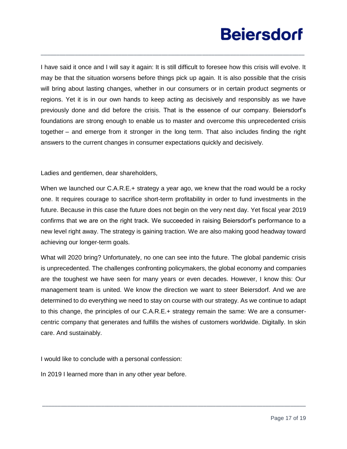I have said it once and I will say it again: It is still difficult to foresee how this crisis will evolve. It may be that the situation worsens before things pick up again. It is also possible that the crisis will bring about lasting changes, whether in our consumers or in certain product segments or regions. Yet it is in our own hands to keep acting as decisively and responsibly as we have previously done and did before the crisis. That is the essence of our company. Beiersdorf's foundations are strong enough to enable us to master and overcome this unprecedented crisis together – and emerge from it stronger in the long term. That also includes finding the right answers to the current changes in consumer expectations quickly and decisively.

\_\_\_\_\_\_\_\_\_\_\_\_\_\_\_\_\_\_\_\_\_\_\_\_\_\_\_\_\_\_\_\_\_\_\_\_\_\_\_\_\_\_\_\_\_\_\_\_\_\_\_\_\_\_\_\_\_\_\_\_\_\_\_\_\_\_\_\_\_\_\_\_\_\_\_\_\_\_\_\_\_\_\_\_\_

Ladies and gentlemen, dear shareholders,

When we launched our C.A.R.E.+ strategy a year ago, we knew that the road would be a rocky one. It requires courage to sacrifice short-term profitability in order to fund investments in the future. Because in this case the future does not begin on the very next day. Yet fiscal year 2019 confirms that we are on the right track. We succeeded in raising Beiersdorf's performance to a new level right away. The strategy is gaining traction. We are also making good headway toward achieving our longer-term goals.

What will 2020 bring? Unfortunately, no one can see into the future. The global pandemic crisis is unprecedented. The challenges confronting policymakers, the global economy and companies are the toughest we have seen for many years or even decades. However, I know this: Our management team is united. We know the direction we want to steer Beiersdorf. And we are determined to do everything we need to stay on course with our strategy. As we continue to adapt to this change, the principles of our C.A.R.E.+ strategy remain the same: We are a consumercentric company that generates and fulfills the wishes of customers worldwide. Digitally. In skin care. And sustainably.

\_\_\_\_\_\_\_\_\_\_\_\_\_\_\_\_\_\_\_\_\_\_\_\_\_\_\_\_\_\_\_\_\_\_\_\_\_\_\_\_\_\_\_\_\_\_\_\_\_\_\_\_\_\_\_\_\_\_\_\_\_\_\_\_\_\_\_\_\_\_\_\_\_\_\_\_\_\_\_\_\_\_\_\_\_

I would like to conclude with a personal confession:

In 2019 I learned more than in any other year before.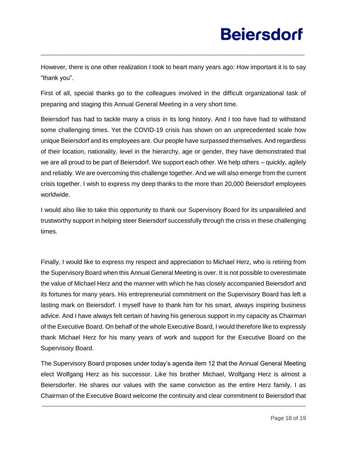However, there is one other realization I took to heart many years ago: How important it is to say "thank you".

\_\_\_\_\_\_\_\_\_\_\_\_\_\_\_\_\_\_\_\_\_\_\_\_\_\_\_\_\_\_\_\_\_\_\_\_\_\_\_\_\_\_\_\_\_\_\_\_\_\_\_\_\_\_\_\_\_\_\_\_\_\_\_\_\_\_\_\_\_\_\_\_\_\_\_\_\_\_\_\_\_\_\_\_\_

First of all, special thanks go to the colleagues involved in the difficult organizational task of preparing and staging this Annual General Meeting in a very short time.

Beiersdorf has had to tackle many a crisis in its long history. And I too have had to withstand some challenging times. Yet the COVID-19 crisis has shown on an unprecedented scale how unique Beiersdorf and its employees are. Our people have surpassed themselves. And regardless of their location, nationality, level in the hierarchy, age or gender, they have demonstrated that we are all proud to be part of Beiersdorf. We support each other. We help others – quickly, agilely and reliably. We are overcoming this challenge together. And we will also emerge from the current crisis together. I wish to express my deep thanks to the more than 20,000 Beiersdorf employees worldwide.

I would also like to take this opportunity to thank our Supervisory Board for its unparalleled and trustworthy support in helping steer Beiersdorf successfully through the crisis in these challenging times.

Finally, I would like to express my respect and appreciation to Michael Herz, who is retiring from the Supervisory Board when this Annual General Meeting is over. It is not possible to overestimate the value of Michael Herz and the manner with which he has closely accompanied Beiersdorf and its fortunes for many years. His entrepreneurial commitment on the Supervisory Board has left a lasting mark on Beiersdorf. I myself have to thank him for his smart, always inspiring business advice. And I have always felt certain of having his generous support in my capacity as Chairman of the Executive Board. On behalf of the whole Executive Board, I would therefore like to expressly thank Michael Herz for his many years of work and support for the Executive Board on the Supervisory Board.

The Supervisory Board proposes under today's agenda item 12 that the Annual General Meeting elect Wolfgang Herz as his successor. Like his brother Michael, Wolfgang Herz is almost a Beiersdorfer. He shares our values with the same conviction as the entire Herz family. I as Chairman of the Executive Board welcome the continuity and clear commitment to Beiersdorf that